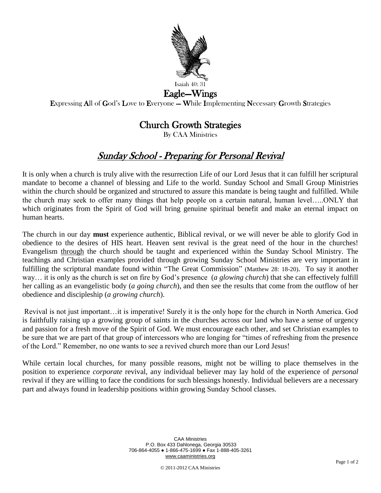

## Eagle—Wings

Expressing All of God's Love to Everyone — While Implementing Necessary Growth Strategies

## Church Growth Strategies

By CAA Ministries

## Sunday School - Preparing for Personal Revival

It is only when a church is truly alive with the resurrection Life of our Lord Jesus that it can fulfill her scriptural mandate to become a channel of blessing and Life to the world. Sunday School and Small Group Ministries within the church should be organized and structured to assure this mandate is being taught and fulfilled. While the church may seek to offer many things that help people on a certain natural, human level…..ONLY that which originates from the Spirit of God will bring genuine spiritual benefit and make an eternal impact on human hearts.

The church in our day **must** experience authentic, Biblical revival, or we will never be able to glorify God in obedience to the desires of HIS heart. Heaven sent revival is the great need of the hour in the churches! Evangelism through the church should be taught and experienced within the Sunday School Ministry. The teachings and Christian examples provided through growing Sunday School Ministries are very important in fulfilling the scriptural mandate found within "The Great Commission" (Matthew 28: 18-20). To say it another way… it is only as the church is set on fire by God's presence (*a glowing church*) that she can effectively fulfill her calling as an evangelistic body (*a going church*), and then see the results that come from the outflow of her obedience and discipleship (*a growing church*).

Revival is not just important…it is imperative! Surely it is the only hope for the church in North America. God is faithfully raising up a growing group of saints in the churches across our land who have a sense of urgency and passion for a fresh move of the Spirit of God. We must encourage each other, and set Christian examples to be sure that we are part of that group of intercessors who are longing for "times of refreshing from the presence of the Lord." Remember, no one wants to see a revived church more than our Lord Jesus!

While certain local churches, for many possible reasons, might not be willing to place themselves in the position to experience *corporate* revival, any individual believer may lay hold of the experience of *personal* revival if they are willing to face the conditions for such blessings honestly. Individual believers are a necessary part and always found in leadership positions within growing Sunday School classes.